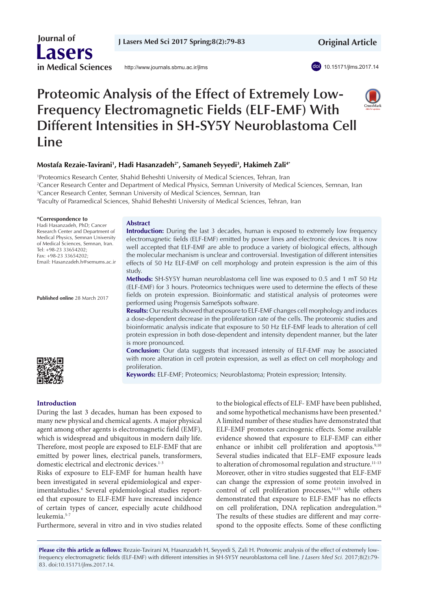**J Lasers Med Sci 2017 Spring;8(2):79-83**

 **Original Article**



# **Proteomic Analysis of the Effect of Extremely Low-Frequency Electromagnetic Fields (ELF-EMF) With Different Intensities in SH-SY5Y Neuroblastoma Cell Line**

# **Mostafa Rezaie-Tavirani1 , Hadi Hasanzadeh2\*, Samaneh Seyyedi3 , Hakimeh Zali4\***

1 Proteomics Research Center, Shahid Beheshti University of Medical Sciences, Tehran, Iran

2 Cancer Research Center and Department of Medical Physics, Semnan University of Medical Sciences, Semnan, Iran

3 Cancer Research Center, Semnan University of Medical Sciences, Semnan, Iran

4 Faculty of Paramedical Sciences, Shahid Beheshti University of Medical Sciences, Tehran, Iran

#### **\*Correspondence to**

Hadi Hasanzadeh, PhD; Cancer Research Center and Department of Medical Physics, Semnan University of Medical Sciences, Semnan, Iran. Tel: +98-23 33654202; Fax: +98-23 33654202; Email: Hasanzadeh.h@semums.ac.ir

**Published online** 28 March 2017

#### **Abstract**

**Introduction:** During the last 3 decades, human is exposed to extremely low frequency electromagnetic fields (ELF-EMF) emitted by power lines and electronic devices. It is now well accepted that ELF-EMF are able to produce a variety of biological effects, although the molecular mechanism is unclear and controversial. Investigation of different intensities effects of 50 Hz ELF-EMF on cell morphology and protein expression is the aim of this study.

**Methods:** SH-SY5Y human neuroblastoma cell line was exposed to 0.5 and 1 mT 50 Hz (ELF-EMF) for 3 hours. Proteomics techniques were used to determine the effects of these fields on protein expression. Bioinformatic and statistical analysis of proteomes were performed using Progensis SameSpots software.

**Results:** Our results showed that exposure to ELF-EMF changes cell morphology and induces a dose-dependent decrease in the proliferation rate of the cells. The proteomic studies and bioinformatic analysis indicate that exposure to 50 Hz ELF-EMF leads to alteration of cell protein expression in both dose-dependent and intensity dependent manner, but the later is more pronounced.

**Conclusion:** Our data suggests that increased intensity of ELF-EMF may be associated with more alteration in cell protein expression, as well as effect on cell morphology and proliferation.

**Keywords:** ELF-EMF; Proteomics; Neuroblastoma; Protein expression; Intensity.

# **Introduction**

During the last 3 decades, human has been exposed to many new physical and chemical agents. A major physical agent among other agents is electromagnetic field (EMF), which is widespread and ubiquitous in modern daily life. Therefore, most people are exposed to ELF-EMF that are emitted by power lines, electrical panels, transformers, domestic electrical and electronic devices.<sup>1-3</sup>

Risks of exposure to ELF-EMF for human health have been investigated in several epidemiological and experimentalstudies.<sup>4</sup> Several epidemiological studies reported that exposure to ELF-EMF have increased incidence of certain types of cancer, especially acute childhood leukemia.5-7

Furthermore, several in vitro and in vivo studies related

to the biological effects of ELF- EMF have been published, and some hypothetical mechanisms have been presented.<sup>8</sup> A limited number of these studies have demonstrated that ELF-EMF promotes carcinogenic effects. Some available evidence showed that exposure to ELF-EMF can either enhance or inhibit cell proliferation and apoptosis.<sup>9,10</sup> Several studies indicated that ELF–EMF exposure leads to alteration of chromosomal regulation and structure.<sup>11-13</sup> Moreover, other in vitro studies suggested that ELF-EMF can change the expression of some protein involved in control of cell proliferation processes, $14,15$  while others demonstrated that exposure to ELF-EMF has no effects on cell proliferation, DNA replication andregulation.<sup>16</sup> The results of these studies are different and may correspond to the opposite effects. Some of these conflicting

**Please cite this article as follows:** Rezaie-Tavirani M, Hasanzadeh H, Seyyedi S, Zali H. Proteomic analysis of the effect of extremely lowfrequency electromagnetic fields (ELF-EMF) with different intensities in SH-SY5Y neuroblastoma cell line. *J Lasers Med Sci.* 2017;8(2):79- 83. doi:10.15171/jlms.2017.14.





 **Journal of Lasers in Medical Sciences**

<http://www.journals.sbmu.ac.ir/jlms>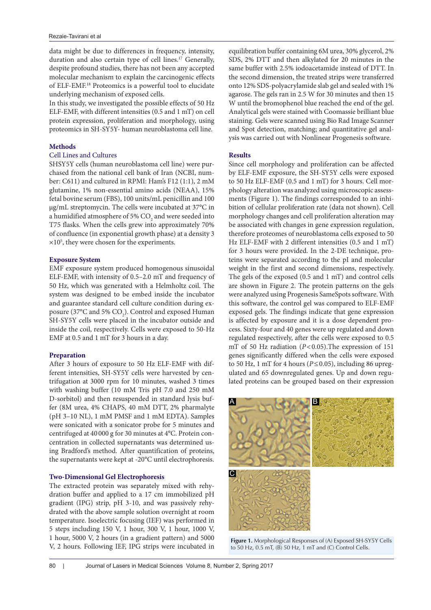data might be due to differences in frequency, intensity, duration and also certain type of cell lines.<sup>17</sup> Generally, despite profound studies, there has not been any accepted molecular mechanism to explain the carcinogenic effects of ELF-EMF.18 Proteomics is a powerful tool to elucidate underlying mechanism of exposed cells.

In this study, we investigated the possible effects of 50 Hz ELF-EMF, with different intensities (0.5 and 1 mT) on cell protein expression, proliferation and morphology, using proteomics in SH-SY5Y- human neuroblastoma cell line.

## **Methods**

## Cell Lines and Cultures

SHSY5Y cells (human neuroblastoma cell line) were purchased from the national cell bank of Iran (NCBI, number: C611) and cultured in RPMI: Ham's F12 (1:1), 2 mM glutamine, 1% non-essential amino acids (NEAA), 15% fetal bovine serum (FBS), 100 units/mL penicillin and 100 µg/mL streptomycin. The cells were incubated at 37°C in a humidified atmosphere of 5%  $\mathrm{CO}_2$  and were seeded into T75 flasks. When the cells grew into approximately 70% of confluence (in exponential growth phase) at a density 3  $\times 10^5$ , they were chosen for the experiments.

## **Exposure System**

EMF exposure system produced homogenous sinusoidal ELF-EMF, with intensity of 0.5–2.0 mT and frequency of 50 Hz, which was generated with a Helmholtz coil. The system was designed to be embed inside the incubator and guarantee standard cell culture condition during exposure (37°C and 5%  $CO<sub>2</sub>$ ). Control and exposed Human SH-SY5Y cells were placed in the incubator outside and inside the coil, respectively. Cells were exposed to 50-Hz EMF at 0.5 and 1 mT for 3 hours in a day.

#### **Preparation**

After 3 hours of exposure to 50 Hz ELF-EMF with different intensities, SH-SY5Y cells were harvested by centrifugation at 3000 rpm for 10 minutes, washed 3 times with washing buffer (10 mM Tris pH 7.0 and 250 mM D-sorbitol) and then resuspended in standard lysis buffer (8M urea, 4% CHAPS, 40 mM DTT, 2% pharmalyte (pH 3–10 NL), 1 mM PMSF and 1 mM EDTA). Samples were sonicated with a sonicator probe for 5 minutes and centrifuged at 40 000 g for 30 minutes at 4°C. Protein concentration in collected supernatants was determined using Bradford's method. After quantification of proteins, the supernatants were kept at -20°C until electrophoresis.

#### **Two-Dimensional Gel Electrophoresis**

The extracted protein was separately mixed with rehydration buffer and applied to a 17 cm immobilized pH gradient (IPG) strip, pH 3-10, and was passively rehydrated with the above sample solution overnight at room temperature. Isoelectric focusing (IEF) was performed in 5 steps including 150 V, 1 hour, 300 V, 1 hour, 1000 V, 1 hour, 5000 V, 2 hours (in a gradient pattern) and 5000 V, 2 hours. Following IEF, IPG strips were incubated in

equilibration buffer containing 6M urea, 30% glycerol, 2% SDS, 2% DTT and then alkylated for 20 minutes in the same buffer with 2.5% iodoacetamide instead of DTT. In the second dimension, the treated strips were transferred onto 12% SDS-polyacrylamide slab gel and sealed with 1% agarose. The gels ran in 2.5 W for 30 minutes and then 15 W until the bromophenol blue reached the end of the gel. Analytical gels were stained with Coomassie brilliant blue staining. Gels were scanned using Bio Rad Image Scanner and Spot detection, matching; and quantitative gel analysis was carried out with Nonlinear Progenesis software.

# **Results**

Since cell morphology and proliferation can be affected by ELF-EMF exposure, the SH-SY5Y cells were exposed to 50 Hz ELF-EMF (0.5 and 1 mT) for 3 hours. Cell morphology alteration was analyzed using microscopic assessments (Figure 1). The findings corresponded to an inhibition of cellular proliferation rate (data not shown). Cell morphology changes and cell proliferation alteration may be associated with changes in gene expression regulation, therefore proteomes of neuroblastoma cells exposed to 50 Hz ELF-EMF with 2 different intensities (0.5 and 1 mT) for 3 hours were provided. In the 2-DE technique, proteins were separated according to the pI and molecular weight in the first and second dimensions, respectively. The gels of the exposed (0.5 and 1 mT) and control cells are shown in Figure 2. The protein patterns on the gels were analyzed using Progenesis SameSpots software. With this software, the control gel was compared to ELF-EMF exposed gels. The findings indicate that gene expression is affected by exposure and it is a dose dependent process. Sixty-four and 40 genes were up regulated and down regulated respectively, after the cells were exposed to 0.5 mT of 50 Hz radiation (*P*<0.05).The expression of 151 genes significantly differed when the cells were exposed to 50 Hz, 1 mT for 4 hours ( $P \le 0.05$ ), including 86 upregulated and 65 downregulated genes. Up and down regulated proteins can be grouped based on their expression



**Figure 1.** Morphological Responses of (A) Exposed SH-SY5Y Cells **Figure 1.** Morphological Responses of (A) Exposed SH-SY5Y Cells to 50 Hz, 0.5 mT, (B) 50 Hz, 1 mT and (C) Control Cells.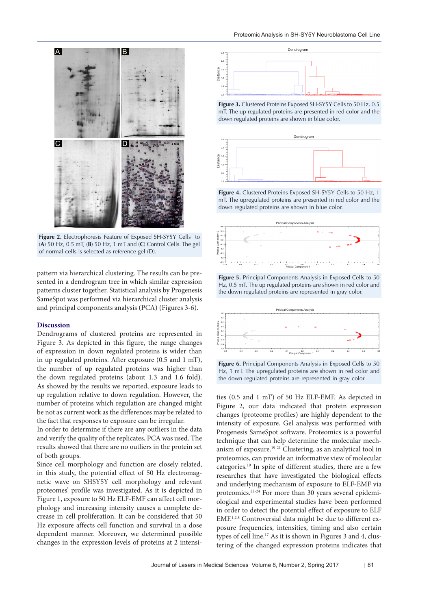

**Figure 2.** Electrophoresis Feature of Exposed SH-SY5Y Cells to (A) 50 Hz, 0.5 ml, (B) 50 Hz, 1 ml and (C) Control Cells. The gel of normal cells is selected as reference gel (D). **Figure 2.** Electrophoresis Feature of Exposed SH-SY5Y Cells to 50 Hz, 0.5 mT, B: 50 Hz, 1 mT and C: **Figure 2.**Electrophoresis Feature of Exposed SH-SY5Y Cells to 50 Hz, 0.5 mT, B: 50Hz, 1mT and C:

pattern via hierarchical clustering. The results can be presented in a dendrogram tree in which similar expression patterns cluster together. Statistical analysis by Progenesis SameSpot was performed via hierarchical cluster analysis and principal components analysis (PCA) (Figures 3-6).

## **Discussion**

Dendrograms of clustered proteins are represented in Figure 3. As depicted in this figure, the range changes of expression in down regulated proteins is wider than in up regulated proteins. After exposure (0.5 and 1 mT), the number of up regulated proteins was higher than the down regulated proteins (about 1.3 and 1.6 fold). As showed by the results we reported, exposure leads to up regulation relative to down regulation. However, the number of proteins which regulation are changed might be not as current work as the differences may be related to the fact that responses to exposure can be irregular.

In order to determine if there are any outliers in the data and verify the quality of the replicates, PCA was used. The results showed that there are no outliers in the protein set of both groups.

Since cell morphology and function are closely related, in this study, the potential effect of 50 Hz electromagnetic wave on SHSY5Y cell morphology and relevant proteomes' profile was investigated. As it is depicted in Figure 1, exposure to 50 Hz ELF-EMF can affect cell morphology and increasing intensity causes a complete decrease in cell proliferation. It can be considered that 50 Hz exposure affects cell function and survival in a dose dependent manner. Moreover, we determined possible changes in the expression levels of proteins at 2 intensi-



**Figure 3.** Clustered Proteins Exposed SH-SY5Y Cells to 50 Hz, 0.5 mT. The up regulated proteins are presented in red color and the down regulated proteins are shown in blue color.



**Figure 4.** Clustered Proteins Exposed SH-SY5Y Cells to 50 Hz, 1 mT. The upregulated proteins are presented in red color and the down regulated proteins are shown in blue color.



**Figure 5.** Principal Components Analysis in Exposed Cells to 50 Hz, 0.5 mT. The up regulated proteins are shown in red color and the down regulated proteins are represented in gray color.



**Figure 6.** Principal Components Analysis in Exposed Cells to 50 Hz, 1 mT. The upregulated proteins are shown in red color and the down regulated proteins are represented in gray color.

ties (0.5 and 1 mT) of 50 Hz ELF-EMF. As depicted in Figure 2, our data indicated that protein expression changes (proteome profiles) are highly dependent to the intensity of exposure. Gel analysis was performed with Progenesis SameSpot software. Proteomics is a powerful technique that can help determine the molecular mechanism of exposure.19-21 Clustering, as an analytical tool in proteomics, can provide an informative view of molecular categories.19 In spite of different studies, there are a few researches that have investigated the biological effects and underlying mechanism of exposure to ELF-EMF via proteomics.22-24 For more than 30 years several epidemiological and experimental studies have been performed in order to detect the potential effect of exposure to ELF EMF.1,2,5 Controversial data might be due to different exposure frequencies, intensities, timing and also certain types of cell line.17 As it is shown in Figures 3 and 4, clustering of the changed expression proteins indicates that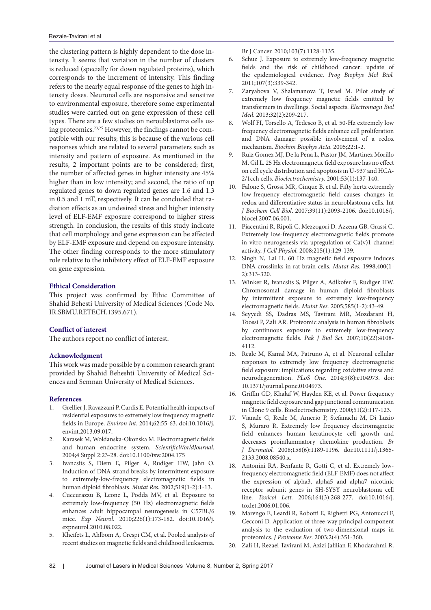the clustering pattern is highly dependent to the dose intensity. It seems that variation in the number of clusters is reduced (specially for down regulated proteins), which corresponds to the increment of intensity. This finding refers to the nearly equal response of the genes to high intensity doses. Neuronal cells are responsive and sensitive to environmental exposure, therefore some experimental studies were carried out on gene expression of these cell types. There are a few studies on neroublastoma cells using proteomics.23,25 However, the findings cannot be compatible with our results; this is because of the various cell responses which are related to several parameters such as intensity and pattern of exposure. As mentioned in the results, 2 important points are to be considered; first, the number of affected genes in higher intensity are 45% higher than in low intensity; and second, the ratio of up regulated genes to down regulated genes are 1.6 and 1.3 in 0.5 and 1 mT, respectively. It can be concluded that radiation effects as an undesired stress and higher intensity level of ELF-EMF exposure correspond to higher stress strength. In conclusion, the results of this study indicate that cell morphology and gene expression can be affected by ELF-EMF exposure and depend on exposure intensity. The other finding corresponds to the more stimulatory role relative to the inhibitory effect of ELF-EMF exposure on gene expression.

## **Ethical Consideration**

This project was confirmed by Ethic Committee of Shahid Behesti University of Medical Sciences (Code No. IR.SBMU.RETECH.1395.671).

# **Conflict of interest**

The authors report no conflict of interest.

## **Acknowledgment**

This work was made possible by a common research grant provided by Shahid Beheshti University of Medical Sciences and Semnan University of Medical Sciences.

## **References**

- 1. Grellier J, Ravazzani P, Cardis E. Potential health impacts of residential exposures to extremely low frequency magnetic fields in Europe. *Environ Int.* 2014;62:55-63. doi:10.1016/j. envint.2013.09.017.
- 2. Karasek M, Woldanska-Okonska M. Electromagnetic fields and human endocrine system. *ScientificWorldJournal*. 2004;4 Suppl 2:23-28. doi:10.1100/tsw.2004.175
- 3. Ivancsits S, Diem E, Pilger A, Rudiger HW, Jahn O. Induction of DNA strand breaks by intermittent exposure to extremely-low-frequency electromagnetic fields in human diploid fibroblasts. *Mutat Res.* 2002;519(1-2):1-13.
- 4. Cuccurazzu B, Leone L, Podda MV, et al. Exposure to extremely low-frequency (50 Hz) electromagnetic fields enhances adult hippocampal neurogenesis in C57BL/6 mice. *Exp Neurol.* 2010;226(1):173-182. doi:10.1016/j. expneurol.2010.08.022.
- 5. Kheifets L, Ahlbom A, Crespi CM, et al. Pooled analysis of recent studies on magnetic fields and childhood leukaemia.

Br J Cancer. 2010;103(7):1128-1135.

- 6. Schuz J. Exposure to extremely low-frequency magnetic fields and the risk of childhood cancer: update of the epidemiological evidence. *Prog Biophys Mol Biol.*  2011;107(3):339-342.
- 7. Zaryabova V, Shalamanova T, Israel M. Pilot study of extremely low frequency magnetic fields emitted by transformers in dwellings. Social aspects. *Electromagn Biol Med*. 2013;32(2):209-217.
- 8. Wolf FI, Torsello A, Tedesco B, et al. 50-Hz extremely low frequency electromagnetic fields enhance cell proliferation and DNA damage: possible involvement of a redox mechanism. *Biochim Biophys Acta.* 2005;22:1-2.
- 9. Ruiz Gomez MJ, De la Pena L, Pastor JM, Martinez Morillo M, Gil L. 25 Hz electromagnetic field exposure has no effect on cell cycle distribution and apoptosis in U-937 and HCA-2/1cch cells. *Bioelectrochemistry.* 2001;53(1):137-140.
- 10. Falone S, Grossi MR, Cinque B, et al. Fifty hertz extremely low-frequency electromagnetic field causes changes in redox and differentiative status in neuroblastoma cells. Int *J Biochem Cell Biol*. 2007;39(11):2093-2106. doi:10.1016/j. biocel.2007.06.001.
- 11. Piacentini R, Ripoli C, Mezzogori D, Azzena GB, Grassi C. Extremely low-frequency electromagnetic fields promote in vitro neurogenesis via upregulation of Ca(v)1-channel activity. *J Cell Physiol.* 2008;215(1):129-139.
- 12. Singh N, Lai H. 60 Hz magnetic field exposure induces DNA crosslinks in rat brain cells. *Mutat Res.* 1998;400(1- 2):313-320.
- 13. Winker R, Ivancsits S, Pilger A, Adlkofer F, Rudiger HW. Chromosomal damage in human diploid fibroblasts by intermittent exposure to extremely low-frequency electromagnetic fields. *Mutat Res.* 2005;585(1-2):43-49.
- 14. Seyyedi SS, Dadras MS, Tavirani MR, Mozdarani H, Toossi P, Zali AR. Proteomic analysis in human fibroblasts by continuous exposure to extremely low-frequency electromagnetic fields. *Pak J Biol Sci.* 2007;10(22):4108- 4112.
- 15. Reale M, Kamal MA, Patruno A, et al. Neuronal cellular responses to extremely low frequency electromagnetic field exposure: implications regarding oxidative stress and neurodegeneration. *PLoS One*. 2014;9(8):e104973. doi: 10.1371/journal.pone.0104973.
- 16. Griffin GD, Khalaf W, Hayden KE, et al. Power frequency magnetic field exposure and gap junctional communication in Clone 9 cells. Bioelectrochemistry. 2000;51(2):117-123.
- 17. Vianale G, Reale M, Amerio P, Stefanachi M, Di Luzio S, Muraro R. Extremely low frequency electromagnetic field enhances human keratinocyte cell growth and decreases proinflammatory chemokine production. *Br J Dermatol.* 2008;158(6):1189-1196. doi:10.1111/j.1365- 2133.2008.08540.x.
- 18. Antonini RA, Benfante R, Gotti C, et al. Extremely lowfrequency electromagnetic field (ELF-EMF) does not affect the expression of alpha3, alpha5 and alpha7 nicotinic receptor subunit genes in SH-SY5Y neuroblastoma cell line. *Toxicol Lett.* 2006;164(3):268-277. doi:10.1016/j. toxlet.2006.01.006.
- 19. Marengo E, Leardi R, Robotti E, Righetti PG, Antonucci F, Cecconi D. Application of three-way principal component analysis to the evaluation of two-dimensional maps in proteomics. *J Proteome Res.* 2003;2(4):351-360.
- 20. Zali H, Rezaei Tavirani M, Azizi Jalilian F, Khodarahmi R.